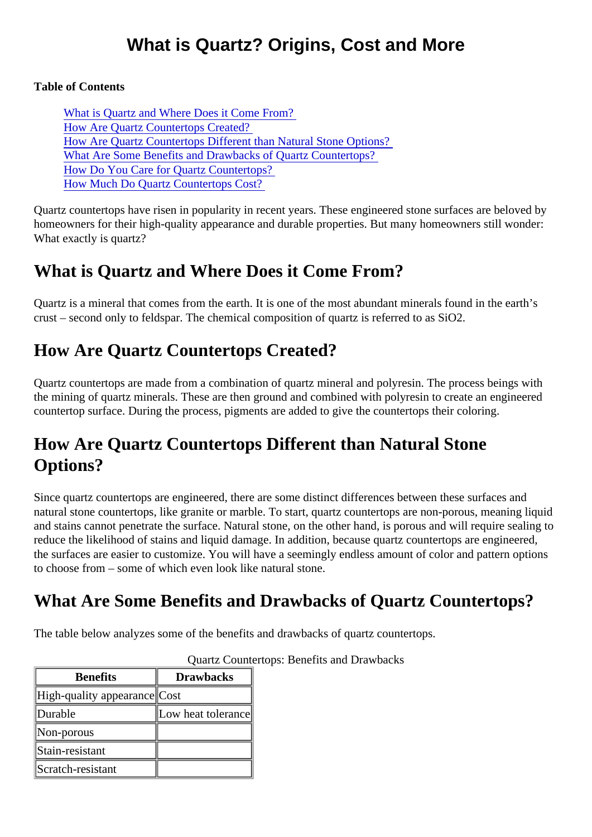Table of Contents

What is Quartz and Where Does it Come From? How Are Quartz Countertops Created? How Are Quartz Countertops Different than Natural Stone Options? What Are Some Benefits and Drawbacks of Quartz Countertops? [How Do You Care for Quartz Countertop](#page-1-0)s? [How Much Do Quartz Countertops Cos](#page-1-0)t?

Quartz countertops have risen in popularity in recent years. These engineered stone surfaces are beloved homeowners for their high-quality appearance and durable properties. But many homeowners still wonder: What exactly is quartz?

## What is Quartz and Where Does it Come From?

Quartz is a mineral that comes from the earth. It is one of the most abundant minerals found in the earth's crust – second only to feldspar. The chemical composition of quartz is referred to as SiO2.

## How Are Quartz Countertops Created?

Quartz countertops are made from a combination of quartz mineral and polyresin. The process beings with the mining of quartz minerals. These are then ground and combined with polyresin to create an engineere countertop surface. During the process, pigments are added to give the countertops their coloring.

## How Are Quartz Countertops Different than Natural Stone Options?

Since quartz countertops are engineered, there are some distinct differences between these surfaces and natural stone countertops, like granite or marble. To start, quartz countertops are non-porous, meaning liquid and stains cannot penetrate the surface. Natural stone, on the other hand, is porous and will require sealir reduce the likelihood of stains and liquid damage. In addition, because quartz countertops are engineered, the surfaces are easier to customize. You will have a seemingly endless amount of color and pattern optio to choose from – some of which even look like natural stone.

# What Are Some Benefits and Drawbacks of Quartz Countertops?

The table below analyzes some of the benefits and drawbacks of quartz countertops.

| <b>Benefits</b>             | <b>Drawbacks</b>   |
|-----------------------------|--------------------|
| High-quality appearand Cost |                    |
| Durable                     | Low heat tolerande |
| Non-porous                  |                    |
| Stain-resistant             |                    |
| Scratch-resistant           |                    |

#### Quartz Countertops: Benefits and Drawbacks